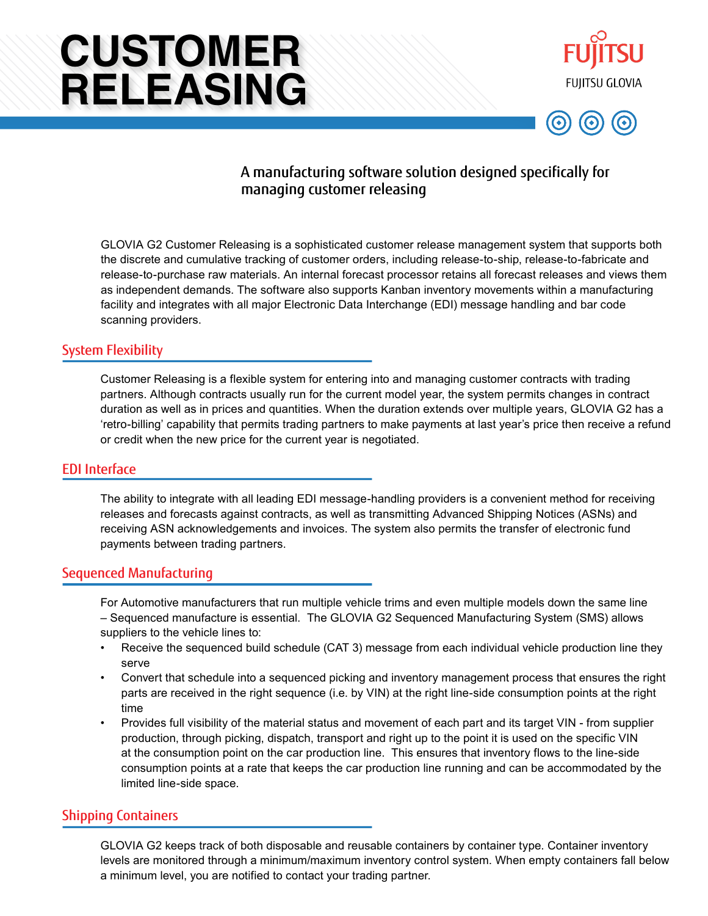# **CUSTOMER RELEASING**





# A manufacturing software solution designed specifically for managing customer releasing

GLOVIA G2 Customer Releasing is a sophisticated customer release management system that supports both the discrete and cumulative tracking of customer orders, including release-to-ship, release-to-fabricate and release-to-purchase raw materials. An internal forecast processor retains all forecast releases and views them as independent demands. The software also supports Kanban inventory movements within a manufacturing facility and integrates with all major Electronic Data Interchange (EDI) message handling and bar code scanning providers.

## System Flexibility

Customer Releasing is a flexible system for entering into and managing customer contracts with trading partners. Although contracts usually run for the current model year, the system permits changes in contract duration as well as in prices and quantities. When the duration extends over multiple years, GLOVIA G2 has a 'retro-billing' capability that permits trading partners to make payments at last year's price then receive a refund or credit when the new price for the current year is negotiated.

#### EDI Interface

The ability to integrate with all leading EDI message-handling providers is a convenient method for receiving releases and forecasts against contracts, as well as transmitting Advanced Shipping Notices (ASNs) and receiving ASN acknowledgements and invoices. The system also permits the transfer of electronic fund payments between trading partners.

#### Sequenced Manufacturing

For Automotive manufacturers that run multiple vehicle trims and even multiple models down the same line – Sequenced manufacture is essential. The GLOVIA G2 Sequenced Manufacturing System (SMS) allows suppliers to the vehicle lines to:

- Receive the sequenced build schedule (CAT 3) message from each individual vehicle production line they serve
- Convert that schedule into a sequenced picking and inventory management process that ensures the right parts are received in the right sequence (i.e. by VIN) at the right line-side consumption points at the right time
- Provides full visibility of the material status and movement of each part and its target VIN from supplier production, through picking, dispatch, transport and right up to the point it is used on the specific VIN at the consumption point on the car production line. This ensures that inventory flows to the line-side consumption points at a rate that keeps the car production line running and can be accommodated by the limited line-side space.

## Shipping Containers

GLOVIA G2 keeps track of both disposable and reusable containers by container type. Container inventory levels are monitored through a minimum/maximum inventory control system. When empty containers fall below a minimum level, you are notified to contact your trading partner.